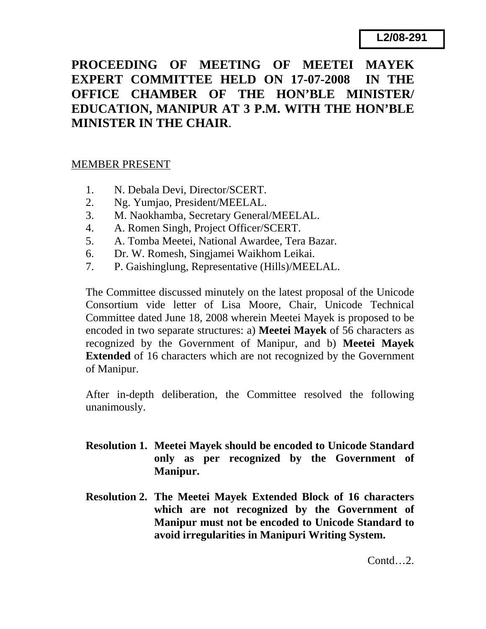## **PROCEEDING OF MEETING OF MEETEI MAYEK EXPERT COMMITTEE HELD ON 17-07-2008 IN THE OFFICE CHAMBER OF THE HON'BLE MINISTER/ EDUCATION, MANIPUR AT 3 P.M. WITH THE HON'BLE MINISTER IN THE CHAIR**.

## MEMBER PRESENT

- 1. N. Debala Devi, Director/SCERT.
- 2. Ng. Yumjao, President/MEELAL.
- 3. M. Naokhamba, Secretary General/MEELAL.
- 4. A. Romen Singh, Project Officer/SCERT.
- 5. A. Tomba Meetei, National Awardee, Tera Bazar.
- 6. Dr. W. Romesh, Singjamei Waikhom Leikai.
- 7. P. Gaishinglung, Representative (Hills)/MEELAL.

The Committee discussed minutely on the latest proposal of the Unicode Consortium vide letter of Lisa Moore, Chair, Unicode Technical Committee dated June 18, 2008 wherein Meetei Mayek is proposed to be encoded in two separate structures: a) **Meetei Mayek** of 56 characters as recognized by the Government of Manipur, and b) **Meetei Mayek Extended** of 16 characters which are not recognized by the Government of Manipur.

After in-depth deliberation, the Committee resolved the following unanimously.

- **Resolution 1. Meetei Mayek should be encoded to Unicode Standard only as per recognized by the Government of Manipur.**
- **Resolution 2. The Meetei Mayek Extended Block of 16 characters which are not recognized by the Government of Manipur must not be encoded to Unicode Standard to avoid irregularities in Manipuri Writing System.**

Contd…2.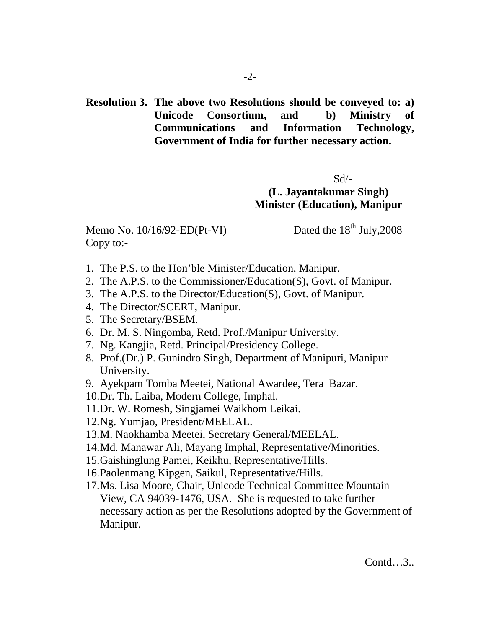**Resolution 3. The above two Resolutions should be conveyed to: a) Unicode Consortium, and b) Ministry of Communications and Information Technology, Government of India for further necessary action.** 

 $Sd$ <sup>-</sup>

**(L. Jayantakumar Singh) Minister (Education), Manipur** 

Memo No.  $10/16/92$ -ED(Pt-VI) Dated the  $18<sup>th</sup>$  July, 2008 Copy to:-

- 1. The P.S. to the Hon'ble Minister/Education, Manipur.
- 2. The A.P.S. to the Commissioner/Education(S), Govt. of Manipur.
- 3. The A.P.S. to the Director/Education(S), Govt. of Manipur.
- 4. The Director/SCERT, Manipur.
- 5. The Secretary/BSEM.
- 6. Dr. M. S. Ningomba, Retd. Prof./Manipur University.
- 7. Ng. Kangjia, Retd. Principal/Presidency College.
- 8. Prof.(Dr.) P. Gunindro Singh, Department of Manipuri, Manipur University.
- 9. Ayekpam Tomba Meetei, National Awardee, Tera Bazar.
- 10.Dr. Th. Laiba, Modern College, Imphal.
- 11.Dr. W. Romesh, Singjamei Waikhom Leikai.
- 12.Ng. Yumjao, President/MEELAL.
- 13.M. Naokhamba Meetei, Secretary General/MEELAL.
- 14.Md. Manawar Ali, Mayang Imphal, Representative/Minorities.
- 15.Gaishinglung Pamei, Keikhu, Representative/Hills.
- 16.Paolenmang Kipgen, Saikul, Representative/Hills.
- 17.Ms. Lisa Moore, Chair, Unicode Technical Committee Mountain View, CA 94039-1476, USA. She is requested to take further necessary action as per the Resolutions adopted by the Government of Manipur.

Contd…3..